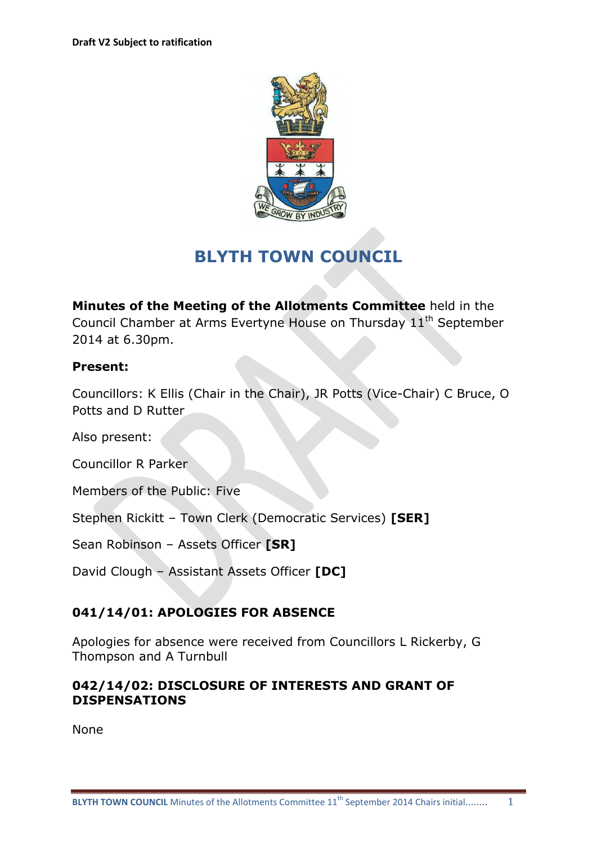

# **BLYTH TOWN COUNCIL**

**Minutes of the Meeting of the Allotments Committee** held in the Council Chamber at Arms Evertyne House on Thursday  $11<sup>th</sup>$  September 2014 at 6.30pm.

# **Present:**

Councillors: K Ellis (Chair in the Chair), JR Potts (Vice-Chair) C Bruce, O Potts and D Rutter

Also present:

Councillor R Parker

Members of the Public: Five

Stephen Rickitt – Town Clerk (Democratic Services) **[SER]**

Sean Robinson – Assets Officer **[SR]**

David Clough – Assistant Assets Officer **[DC]**

# **041/14/01: APOLOGIES FOR ABSENCE**

Apologies for absence were received from Councillors L Rickerby, G Thompson and A Turnbull

### **042/14/02: DISCLOSURE OF INTERESTS AND GRANT OF DISPENSATIONS**

None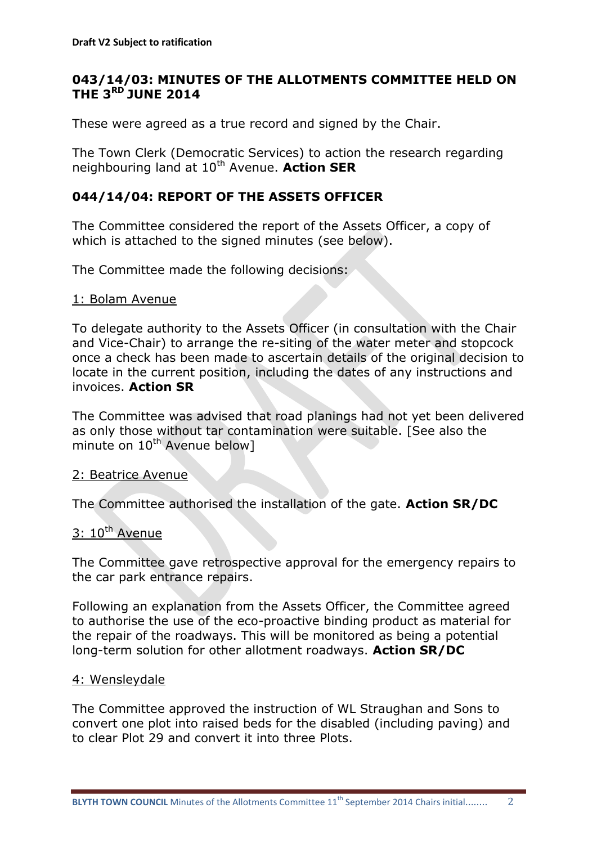# **043/14/03: MINUTES OF THE ALLOTMENTS COMMITTEE HELD ON THE 3 RD JUNE 2014**

These were agreed as a true record and signed by the Chair.

The Town Clerk (Democratic Services) to action the research regarding neighbouring land at 10<sup>th</sup> Avenue. **Action SER** 

# **044/14/04: REPORT OF THE ASSETS OFFICER**

The Committee considered the report of the Assets Officer, a copy of which is attached to the signed minutes (see below).

The Committee made the following decisions:

### 1: Bolam Avenue

To delegate authority to the Assets Officer (in consultation with the Chair and Vice-Chair) to arrange the re-siting of the water meter and stopcock once a check has been made to ascertain details of the original decision to locate in the current position, including the dates of any instructions and invoices. **Action SR**

The Committee was advised that road planings had not yet been delivered as only those without tar contamination were suitable. [See also the minute on  $10^{th}$  Avenue below]

### 2: Beatrice Avenue

The Committee authorised the installation of the gate. **Action SR/DC**

### $3: 10^{th}$  Avenue

The Committee gave retrospective approval for the emergency repairs to the car park entrance repairs.

Following an explanation from the Assets Officer, the Committee agreed to authorise the use of the eco-proactive binding product as material for the repair of the roadways. This will be monitored as being a potential long-term solution for other allotment roadways. **Action SR/DC**

#### 4: Wensleydale

The Committee approved the instruction of WL Straughan and Sons to convert one plot into raised beds for the disabled (including paving) and to clear Plot 29 and convert it into three Plots.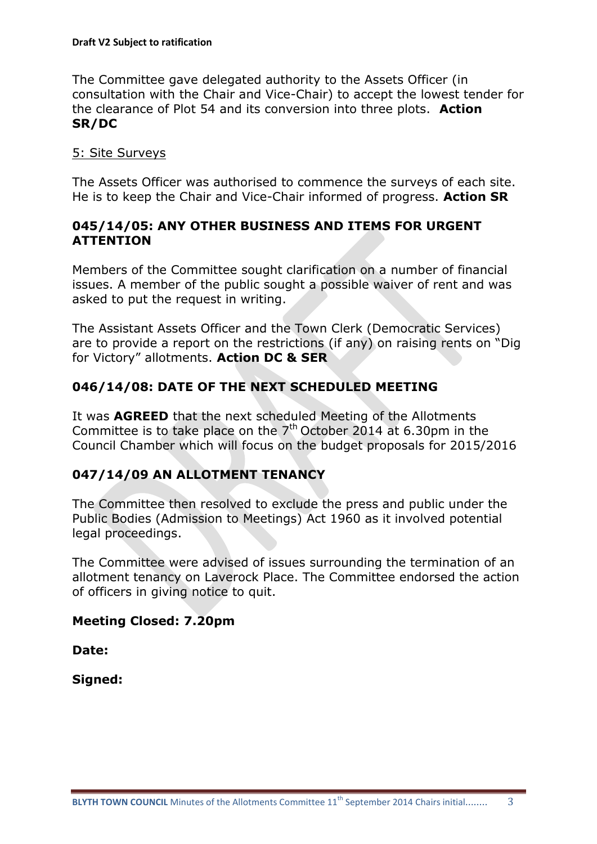The Committee gave delegated authority to the Assets Officer (in consultation with the Chair and Vice-Chair) to accept the lowest tender for the clearance of Plot 54 and its conversion into three plots. **Action SR/DC**

### 5: Site Surveys

The Assets Officer was authorised to commence the surveys of each site. He is to keep the Chair and Vice-Chair informed of progress. **Action SR**

### **045/14/05: ANY OTHER BUSINESS AND ITEMS FOR URGENT ATTENTION**

Members of the Committee sought clarification on a number of financial issues. A member of the public sought a possible waiver of rent and was asked to put the request in writing.

The Assistant Assets Officer and the Town Clerk (Democratic Services) are to provide a report on the restrictions (if any) on raising rents on "Dig for Victory" allotments. **Action DC & SER**

# **046/14/08: DATE OF THE NEXT SCHEDULED MEETING**

It was **AGREED** that the next scheduled Meeting of the Allotments Committee is to take place on the  $7<sup>th</sup>$  October 2014 at 6.30pm in the Council Chamber which will focus on the budget proposals for 2015/2016

# **047/14/09 AN ALLOTMENT TENANCY**

The Committee then resolved to exclude the press and public under the Public Bodies (Admission to Meetings) Act 1960 as it involved potential legal proceedings.

The Committee were advised of issues surrounding the termination of an allotment tenancy on Laverock Place. The Committee endorsed the action of officers in giving notice to quit.

# **Meeting Closed: 7.20pm**

**Date:**

**Signed:**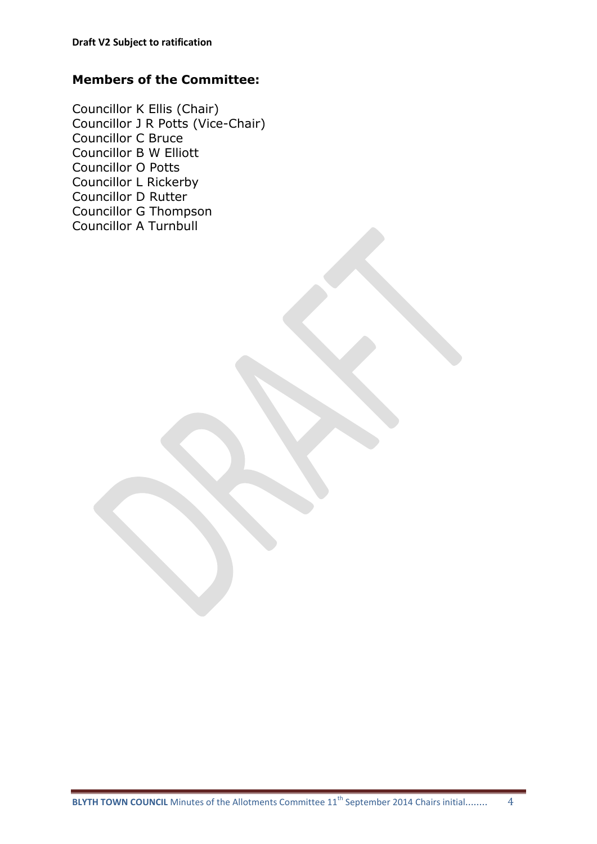### **Members of the Committee:**

Councillor K Ellis (Chair) Councillor J R Potts (Vice-Chair) Councillor C Bruce Councillor B W Elliott Councillor O Potts Councillor L Rickerby Councillor D Rutter Councillor G Thompson Councillor A Turnbull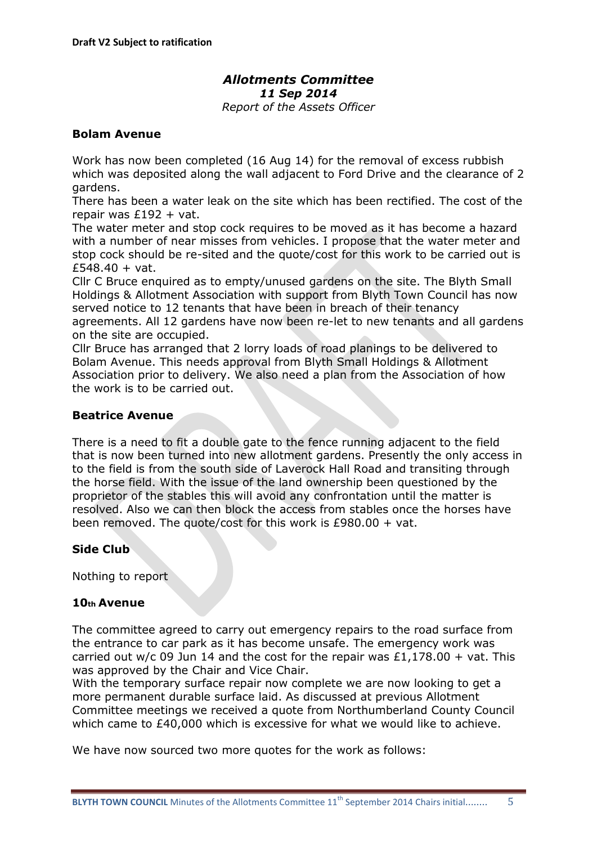# *Allotments Committee 11 Sep 2014*

*Report of the Assets Officer*

#### **Bolam Avenue**

Work has now been completed (16 Aug 14) for the removal of excess rubbish which was deposited along the wall adjacent to Ford Drive and the clearance of 2 gardens.

There has been a water leak on the site which has been rectified. The cost of the repair was £192 + vat.

The water meter and stop cock requires to be moved as it has become a hazard with a number of near misses from vehicles. I propose that the water meter and stop cock should be re-sited and the quote/cost for this work to be carried out is  $£548.40 + vat.$ 

Cllr C Bruce enquired as to empty/unused gardens on the site. The Blyth Small Holdings & Allotment Association with support from Blyth Town Council has now served notice to 12 tenants that have been in breach of their tenancy agreements. All 12 gardens have now been re-let to new tenants and all gardens on the site are occupied.

Cllr Bruce has arranged that 2 lorry loads of road planings to be delivered to Bolam Avenue. This needs approval from Blyth Small Holdings & Allotment Association prior to delivery. We also need a plan from the Association of how the work is to be carried out.

#### **Beatrice Avenue**

There is a need to fit a double gate to the fence running adjacent to the field that is now been turned into new allotment gardens. Presently the only access in to the field is from the south side of Laverock Hall Road and transiting through the horse field. With the issue of the land ownership been questioned by the proprietor of the stables this will avoid any confrontation until the matter is resolved. Also we can then block the access from stables once the horses have been removed. The quote/cost for this work is £980.00 + vat.

#### **Side Club**

Nothing to report

#### **10th Avenue**

The committee agreed to carry out emergency repairs to the road surface from the entrance to car park as it has become unsafe. The emergency work was carried out w/c 09 Jun 14 and the cost for the repair was  $£1,178.00 + \text{vat}$ . This was approved by the Chair and Vice Chair.

With the temporary surface repair now complete we are now looking to get a more permanent durable surface laid. As discussed at previous Allotment Committee meetings we received a quote from Northumberland County Council which came to £40,000 which is excessive for what we would like to achieve.

We have now sourced two more quotes for the work as follows: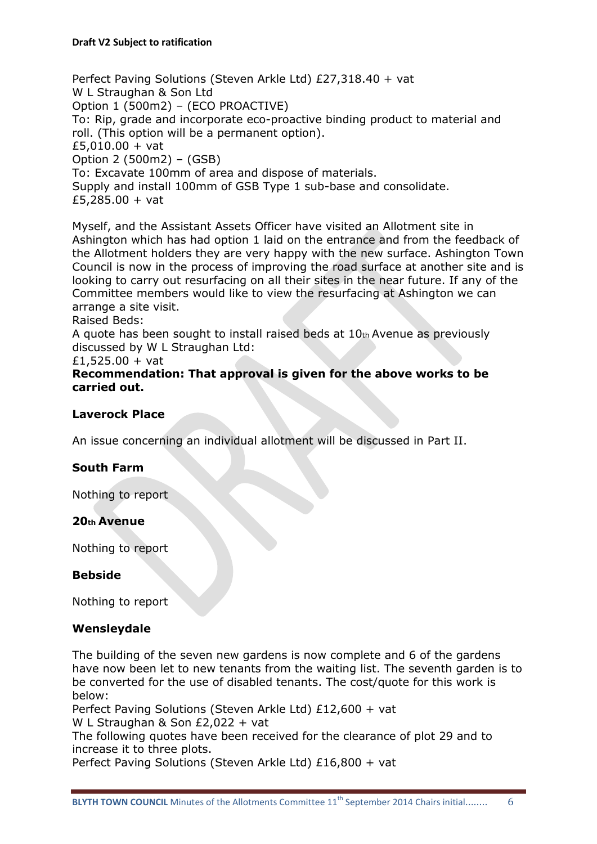Perfect Paving Solutions (Steven Arkle Ltd) £27,318.40 + vat W L Straughan & Son Ltd Option 1 (500m2) – (ECO PROACTIVE) To: Rip, grade and incorporate eco-proactive binding product to material and roll. (This option will be a permanent option).  $£5,010.00 + vat$ Option 2 (500m2) – (GSB) To: Excavate 100mm of area and dispose of materials. Supply and install 100mm of GSB Type 1 sub-base and consolidate. £5,285.00 + vat

Myself, and the Assistant Assets Officer have visited an Allotment site in Ashington which has had option 1 laid on the entrance and from the feedback of the Allotment holders they are very happy with the new surface. Ashington Town Council is now in the process of improving the road surface at another site and is looking to carry out resurfacing on all their sites in the near future. If any of the Committee members would like to view the resurfacing at Ashington we can arrange a site visit.

Raised Beds:

A quote has been sought to install raised beds at 10th Avenue as previously discussed by W L Straughan Ltd:

£1,525.00 + vat

**Recommendation: That approval is given for the above works to be carried out.** 

### **Laverock Place**

An issue concerning an individual allotment will be discussed in Part II.

#### **South Farm**

Nothing to report

#### **20th Avenue**

Nothing to report

#### **Bebside**

Nothing to report

#### **Wensleydale**

The building of the seven new gardens is now complete and 6 of the gardens have now been let to new tenants from the waiting list. The seventh garden is to be converted for the use of disabled tenants. The cost/quote for this work is below:

Perfect Paving Solutions (Steven Arkle Ltd) £12,600 + vat

W L Straughan & Son £2,022 + vat

The following quotes have been received for the clearance of plot 29 and to increase it to three plots.

Perfect Paving Solutions (Steven Arkle Ltd) £16,800 + vat